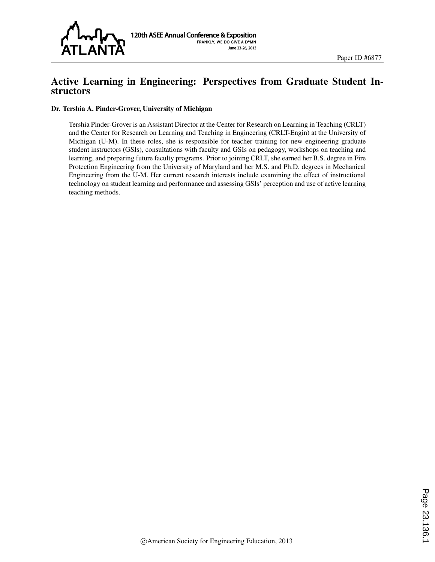

# Active Learning in Engineering: Perspectives from Graduate Student Instructors

#### Dr. Tershia A. Pinder-Grover, University of Michigan

Tershia Pinder-Grover is an Assistant Director at the Center for Research on Learning in Teaching (CRLT) and the Center for Research on Learning and Teaching in Engineering (CRLT-Engin) at the University of Michigan (U-M). In these roles, she is responsible for teacher training for new engineering graduate student instructors (GSIs), consultations with faculty and GSIs on pedagogy, workshops on teaching and learning, and preparing future faculty programs. Prior to joining CRLT, she earned her B.S. degree in Fire Protection Engineering from the University of Maryland and her M.S. and Ph.D. degrees in Mechanical Engineering from the U-M. Her current research interests include examining the effect of instructional technology on student learning and performance and assessing GSIs' perception and use of active learning teaching methods.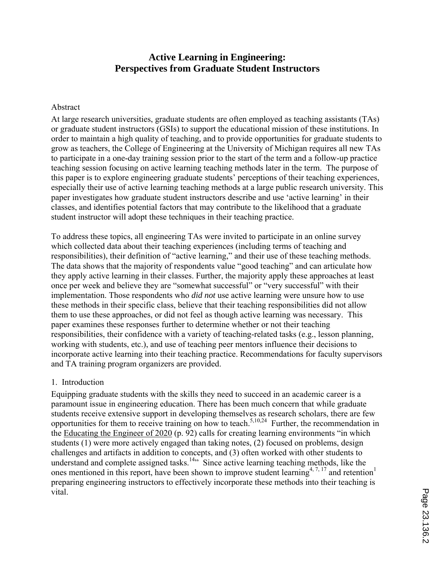# **Active Learning in Engineering: Perspectives from Graduate Student Instructors**

## Abstract

At large research universities, graduate students are often employed as teaching assistants (TAs) or graduate student instructors (GSIs) to support the educational mission of these institutions. In order to maintain a high quality of teaching, and to provide opportunities for graduate students to grow as teachers, the College of Engineering at the University of Michigan requires all new TAs to participate in a one-day training session prior to the start of the term and a follow-up practice teaching session focusing on active learning teaching methods later in the term. The purpose of this paper is to explore engineering graduate students' perceptions of their teaching experiences, especially their use of active learning teaching methods at a large public research university. This paper investigates how graduate student instructors describe and use 'active learning' in their classes, and identifies potential factors that may contribute to the likelihood that a graduate student instructor will adopt these techniques in their teaching practice.

To address these topics, all engineering TAs were invited to participate in an online survey which collected data about their teaching experiences (including terms of teaching and responsibilities), their definition of "active learning," and their use of these teaching methods. The data shows that the majority of respondents value "good teaching" and can articulate how they apply active learning in their classes. Further, the majority apply these approaches at least once per week and believe they are "somewhat successful" or "very successful" with their implementation. Those respondents who *did not* use active learning were unsure how to use these methods in their specific class, believe that their teaching responsibilities did not allow them to use these approaches, or did not feel as though active learning was necessary. This paper examines these responses further to determine whether or not their teaching responsibilities, their confidence with a variety of teaching-related tasks (e.g., lesson planning, working with students, etc.), and use of teaching peer mentors influence their decisions to incorporate active learning into their teaching practice. Recommendations for faculty supervisors and TA training program organizers are provided.

## 1. Introduction

Equipping graduate students with the skills they need to succeed in an academic career is a paramount issue in engineering education. There has been much concern that while graduate students receive extensive support in developing themselves as research scholars, there are few opportunities for them to receive training on how to teach.<sup>5,10,24</sup> Further, the recommendation in the Educating the Engineer of 2020 (p. 92) calls for creating learning environments "in which students (1) were more actively engaged than taking notes, (2) focused on problems, design challenges and artifacts in addition to concepts, and (3) often worked with other students to understand and complete assigned tasks.<sup>14</sup><sup>,</sup> Since active learning teaching methods, like the ones mentioned in this report, have been shown to improve student learning<sup>4, 7, 17</sup> and retention<sup>1</sup> preparing engineering instructors to effectively incorporate these methods into their teaching is vital.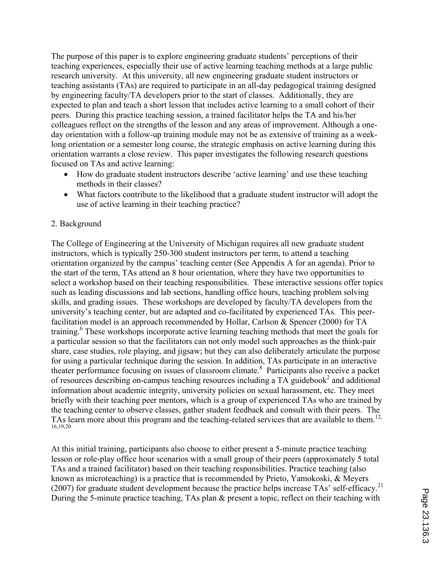The purpose of this paper is to explore engineering graduate students' perceptions of their teaching experiences, especially their use of active learning teaching methods at a large public research university. At this university, all new engineering graduate student instructors or teaching assistants (TAs) are required to participate in an all-day pedagogical training designed by engineering faculty/TA developers prior to the start of classes. Additionally, they are expected to plan and teach a short lesson that includes active learning to a small cohort of their peers. During this practice teaching session, a trained facilitator helps the TA and his/her colleagues reflect on the strengths of the lesson and any areas of improvement. Although a oneday orientation with a follow-up training module may not be as extensive of training as a weeklong orientation or a semester long course, the strategic emphasis on active learning during this orientation warrants a close review. This paper investigates the following research questions focused on TAs and active learning:

- How do graduate student instructors describe 'active learning' and use these teaching methods in their classes?
- What factors contribute to the likelihood that a graduate student instructor will adopt the use of active learning in their teaching practice?

## 2. Background

The College of Engineering at the University of Michigan requires all new graduate student instructors, which is typically 250-300 student instructors per term, to attend a teaching orientation organized by the campus' teaching center (See Appendix A for an agenda). Prior to the start of the term, TAs attend an 8 hour orientation, where they have two opportunities to select a workshop based on their teaching responsibilities. These interactive sessions offer topics such as leading discussions and lab sections, handling office hours, teaching problem solving skills, and grading issues. These workshops are developed by faculty/TA developers from the university's teaching center, but are adapted and co-facilitated by experienced TAs. This peerfacilitation model is an approach recommended by Hollar, Carlson & Spencer (2000) for TA training.<sup>6</sup> These workshops incorporate active learning teaching methods that meet the goals for a particular session so that the facilitators can not only model such approaches as the think-pair share, case studies, role playing, and jigsaw; but they can also deliberately articulate the purpose for using a particular technique during the session. In addition, TAs participate in an interactive theater performance focusing on issues of classroom climate.<sup>8</sup> Participants also receive a packet of resources describing on-campus teaching resources including a  $TA$  guidebook<sup>2</sup> and additional information about academic integrity, university policies on sexual harassment, etc. They meet briefly with their teaching peer mentors, which is a group of experienced TAs who are trained by the teaching center to observe classes, gather student feedback and consult with their peers. The TAs learn more about this program and the teaching-related services that are available to them.<sup>12,</sup> 16,19,20

At this initial training, participants also choose to either present a 5-minute practice teaching lesson or role-play office hour scenarios with a small group of their peers (approximately 5 total TAs and a trained facilitator) based on their teaching responsibilities. Practice teaching (also known as microteaching) is a practice that is recommended by Prieto, Yamokoski, & Meyers (2007) for graduate student development because the practice helps increase TAs' self-efficacy.<sup>21</sup> During the 5-minute practice teaching, TAs plan & present a topic, reflect on their teaching with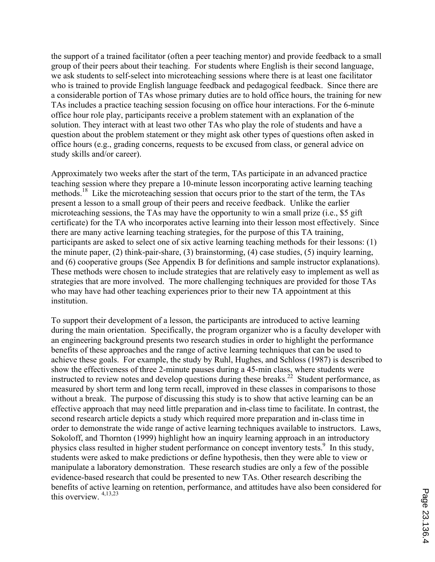the support of a trained facilitator (often a peer teaching mentor) and provide feedback to a small group of their peers about their teaching. For students where English is their second language, we ask students to self-select into microteaching sessions where there is at least one facilitator who is trained to provide English language feedback and pedagogical feedback. Since there are a considerable portion of TAs whose primary duties are to hold office hours, the training for new TAs includes a practice teaching session focusing on office hour interactions. For the 6-minute office hour role play, participants receive a problem statement with an explanation of the solution. They interact with at least two other TAs who play the role of students and have a question about the problem statement or they might ask other types of questions often asked in office hours (e.g., grading concerns, requests to be excused from class, or general advice on study skills and/or career).

Approximately two weeks after the start of the term, TAs participate in an advanced practice teaching session where they prepare a 10-minute lesson incorporating active learning teaching methods.<sup>18</sup> Like the microteaching session that occurs prior to the start of the term, the TAs present a lesson to a small group of their peers and receive feedback. Unlike the earlier microteaching sessions, the TAs may have the opportunity to win a small prize (i.e., \$5 gift certificate) for the TA who incorporates active learning into their lesson most effectively. Since there are many active learning teaching strategies, for the purpose of this TA training, participants are asked to select one of six active learning teaching methods for their lessons: (1) the minute paper, (2) think-pair-share, (3) brainstorming, (4) case studies, (5) inquiry learning, and (6) cooperative groups (See Appendix B for definitions and sample instructor explanations). These methods were chosen to include strategies that are relatively easy to implement as well as strategies that are more involved. The more challenging techniques are provided for those TAs who may have had other teaching experiences prior to their new TA appointment at this institution.

To support their development of a lesson, the participants are introduced to active learning during the main orientation. Specifically, the program organizer who is a faculty developer with an engineering background presents two research studies in order to highlight the performance benefits of these approaches and the range of active learning techniques that can be used to achieve these goals. For example, the study by Ruhl, Hughes, and Schloss (1987) is described to show the effectiveness of three 2-minute pauses during a 45-min class, where students were instructed to review notes and develop questions during these breaks.<sup>22</sup> Student performance, as measured by short term and long term recall, improved in these classes in comparisons to those without a break. The purpose of discussing this study is to show that active learning can be an effective approach that may need little preparation and in-class time to facilitate. In contrast, the second research article depicts a study which required more preparation and in-class time in order to demonstrate the wide range of active learning techniques available to instructors. Laws, Sokoloff, and Thornton (1999) highlight how an inquiry learning approach in an introductory physics class resulted in higher student performance on concept inventory tests.<sup>9</sup> In this study, students were asked to make predictions or define hypothesis, then they were able to view or manipulate a laboratory demonstration. These research studies are only a few of the possible evidence-based research that could be presented to new TAs. Other research describing the benefits of active learning on retention, performance, and attitudes have also been considered for this overview. 4,13,23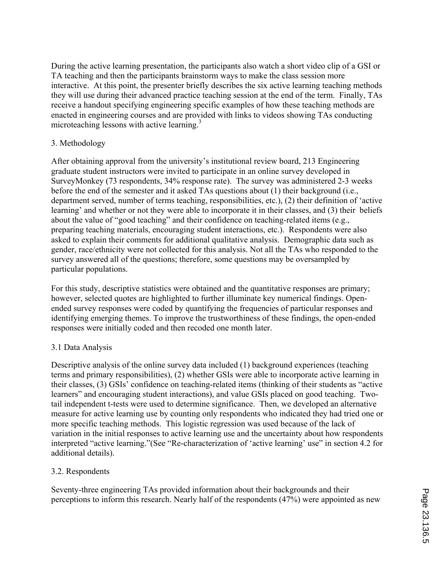During the active learning presentation, the participants also watch a short video clip of a GSI or TA teaching and then the participants brainstorm ways to make the class session more interactive. At this point, the presenter briefly describes the six active learning teaching methods they will use during their advanced practice teaching session at the end of the term. Finally, TAs receive a handout specifying engineering specific examples of how these teaching methods are enacted in engineering courses and are provided with links to videos showing TAs conducting microteaching lessons with active learning.<sup>3</sup>

## 3. Methodology

After obtaining approval from the university's institutional review board, 213 Engineering graduate student instructors were invited to participate in an online survey developed in SurveyMonkey (73 respondents, 34% response rate). The survey was administered 2-3 weeks before the end of the semester and it asked TAs questions about (1) their background (i.e., department served, number of terms teaching, responsibilities, etc.), (2) their definition of 'active learning' and whether or not they were able to incorporate it in their classes, and (3) their beliefs about the value of "good teaching" and their confidence on teaching-related items (e.g., preparing teaching materials, encouraging student interactions, etc.). Respondents were also asked to explain their comments for additional qualitative analysis. Demographic data such as gender, race/ethnicity were not collected for this analysis. Not all the TAs who responded to the survey answered all of the questions; therefore, some questions may be oversampled by particular populations.

For this study, descriptive statistics were obtained and the quantitative responses are primary; however, selected quotes are highlighted to further illuminate key numerical findings. Openended survey responses were coded by quantifying the frequencies of particular responses and identifying emerging themes. To improve the trustworthiness of these findings, the open-ended responses were initially coded and then recoded one month later.

## 3.1 Data Analysis

Descriptive analysis of the online survey data included (1) background experiences (teaching terms and primary responsibilities), (2) whether GSIs were able to incorporate active learning in their classes, (3) GSIs' confidence on teaching-related items (thinking of their students as "active learners" and encouraging student interactions), and value GSIs placed on good teaching. Twotail independent t-tests were used to determine significance. Then, we developed an alternative measure for active learning use by counting only respondents who indicated they had tried one or more specific teaching methods. This logistic regression was used because of the lack of variation in the initial responses to active learning use and the uncertainty about how respondents interpreted "active learning."(See "Re-characterization of 'active learning' use" in section 4.2 for additional details).

## 3.2. Respondents

Seventy-three engineering TAs provided information about their backgrounds and their perceptions to inform this research. Nearly half of the respondents (47%) were appointed as new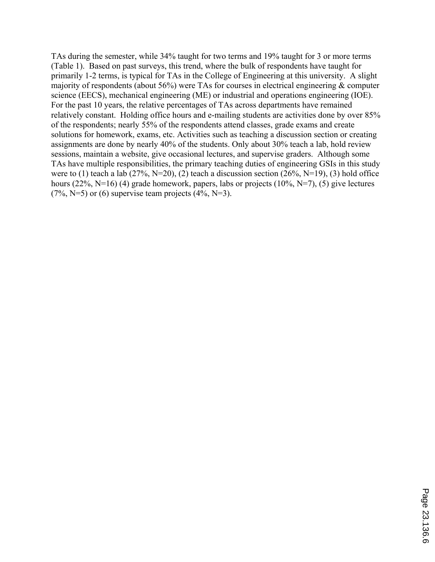TAs during the semester, while 34% taught for two terms and 19% taught for 3 or more terms (Table 1). Based on past surveys, this trend, where the bulk of respondents have taught for primarily 1-2 terms, is typical for TAs in the College of Engineering at this university. A slight majority of respondents (about 56%) were TAs for courses in electrical engineering & computer science (EECS), mechanical engineering (ME) or industrial and operations engineering (IOE). For the past 10 years, the relative percentages of TAs across departments have remained relatively constant. Holding office hours and e-mailing students are activities done by over 85% of the respondents; nearly 55% of the respondents attend classes, grade exams and create solutions for homework, exams, etc. Activities such as teaching a discussion section or creating assignments are done by nearly 40% of the students. Only about 30% teach a lab, hold review sessions, maintain a website, give occasional lectures, and supervise graders. Although some TAs have multiple responsibilities, the primary teaching duties of engineering GSIs in this study were to (1) teach a lab (27%, N=20), (2) teach a discussion section (26%, N=19), (3) hold office hours (22%, N=16) (4) grade homework, papers, labs or projects (10%, N=7), (5) give lectures (7%, N=5) or (6) supervise team projects  $(4\%, N=3)$ .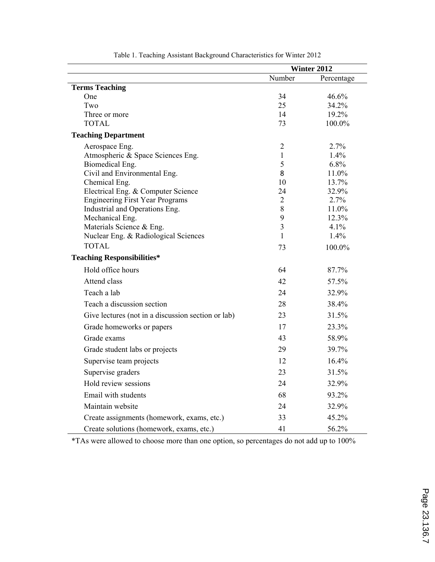|                                                    | Winter 2012                  |               |
|----------------------------------------------------|------------------------------|---------------|
|                                                    | Number                       | Percentage    |
| <b>Terms Teaching</b>                              |                              |               |
| One                                                | 34                           | 46.6%         |
| Two                                                | 25                           | 34.2%         |
| Three or more                                      | 14                           | 19.2%         |
| <b>TOTAL</b>                                       | 73                           | 100.0%        |
| <b>Teaching Department</b>                         |                              |               |
| Aerospace Eng.                                     | $\overline{2}$               | 2.7%          |
| Atmospheric & Space Sciences Eng.                  | 1                            | 1.4%          |
| Biomedical Eng.                                    | 5                            | 6.8%          |
| Civil and Environmental Eng.                       | 8                            | 11.0%         |
| Chemical Eng.                                      | 10                           | 13.7%         |
| Electrical Eng. & Computer Science                 | 24                           | 32.9%         |
| <b>Engineering First Year Programs</b>             | $\overline{2}$               | 2.7%          |
| Industrial and Operations Eng.                     | 8                            | 11.0%         |
| Mechanical Eng.<br>Materials Science & Eng.        | 9<br>$\overline{\mathbf{3}}$ | 12.3%<br>4.1% |
| Nuclear Eng. & Radiological Sciences               | $\mathbf{1}$                 | 1.4%          |
| <b>TOTAL</b>                                       |                              |               |
|                                                    | 73                           | 100.0%        |
| <b>Teaching Responsibilities*</b>                  |                              |               |
| Hold office hours                                  | 64                           | 87.7%         |
| Attend class                                       | 42                           | 57.5%         |
| Teach a lab                                        | 24                           | 32.9%         |
| Teach a discussion section                         | 28                           | 38.4%         |
| Give lectures (not in a discussion section or lab) | 23                           | 31.5%         |
| Grade homeworks or papers                          | 17                           | 23.3%         |
| 43<br>Grade exams                                  |                              | 58.9%         |
| 29<br>Grade student labs or projects               |                              | 39.7%         |
| Supervise team projects                            | 12                           | 16.4%         |
| Supervise graders                                  | 23                           | 31.5%         |
| Hold review sessions                               | 24                           | 32.9%         |
| Email with students                                | 68                           | 93.2%         |
| Maintain website                                   | 24                           | 32.9%         |
| Create assignments (homework, exams, etc.)         | 33                           | 45.2%         |
| Create solutions (homework, exams, etc.)           | 41                           | 56.2%         |

Table 1. Teaching Assistant Background Characteristics for Winter 2012

\*TAs were allowed to choose more than one option, so percentages do not add up to 100%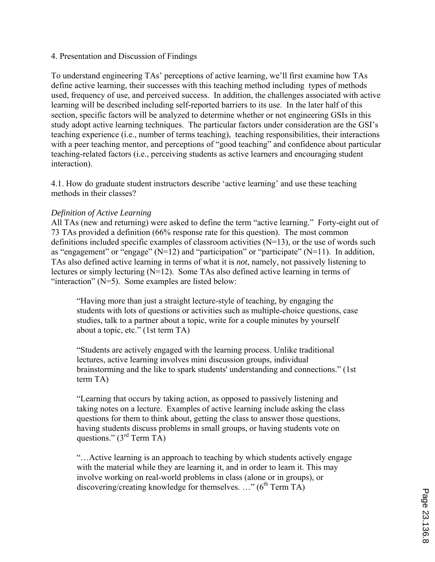## 4. Presentation and Discussion of Findings

To understand engineering TAs' perceptions of active learning, we'll first examine how TAs define active learning, their successes with this teaching method including types of methods used, frequency of use, and perceived success. In addition, the challenges associated with active learning will be described including self-reported barriers to its use. In the later half of this section, specific factors will be analyzed to determine whether or not engineering GSIs in this study adopt active learning techniques. The particular factors under consideration are the GSI's teaching experience (i.e., number of terms teaching), teaching responsibilities, their interactions with a peer teaching mentor, and perceptions of "good teaching" and confidence about particular teaching-related factors (i.e., perceiving students as active learners and encouraging student interaction).

4.1. How do graduate student instructors describe 'active learning' and use these teaching methods in their classes?

## *Definition of Active Learning*

All TAs (new and returning) were asked to define the term "active learning." Forty-eight out of 73 TAs provided a definition (66% response rate for this question). The most common definitions included specific examples of classroom activities  $(N=13)$ , or the use of words such as "engagement" or "engage" ( $N=12$ ) and "participation" or "participate" ( $N=11$ ). In addition, TAs also defined active learning in terms of what it is *not*, namely, not passively listening to lectures or simply lecturing (N=12). Some TAs also defined active learning in terms of "interaction"  $(N=5)$ . Some examples are listed below:

"Having more than just a straight lecture-style of teaching, by engaging the students with lots of questions or activities such as multiple-choice questions, case studies, talk to a partner about a topic, write for a couple minutes by yourself about a topic, etc." (1st term TA)

"Students are actively engaged with the learning process. Unlike traditional lectures, active learning involves mini discussion groups, individual brainstorming and the like to spark students' understanding and connections." (1st term TA)

"Learning that occurs by taking action, as opposed to passively listening and taking notes on a lecture. Examples of active learning include asking the class questions for them to think about, getting the class to answer those questions, having students discuss problems in small groups, or having students vote on questions."  $(3<sup>rd</sup> Term TA)$ 

"…Active learning is an approach to teaching by which students actively engage with the material while they are learning it, and in order to learn it. This may involve working on real-world problems in class (alone or in groups), or discovering/creating knowledge for themselves. ..."  $(6^{th}$  Term TA)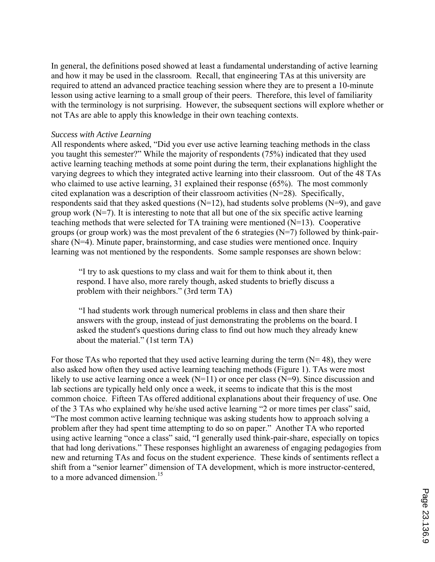In general, the definitions posed showed at least a fundamental understanding of active learning and how it may be used in the classroom. Recall, that engineering TAs at this university are required to attend an advanced practice teaching session where they are to present a 10-minute lesson using active learning to a small group of their peers. Therefore, this level of familiarity with the terminology is not surprising. However, the subsequent sections will explore whether or not TAs are able to apply this knowledge in their own teaching contexts.

#### *Success with Active Learning*

All respondents where asked, "Did you ever use active learning teaching methods in the class you taught this semester?" While the majority of respondents (75%) indicated that they used active learning teaching methods at some point during the term, their explanations highlight the varying degrees to which they integrated active learning into their classroom. Out of the 48 TAs who claimed to use active learning, 31 explained their response (65%). The most commonly cited explanation was a description of their classroom activities (N=28). Specifically, respondents said that they asked questions  $(N=12)$ , had students solve problems  $(N=9)$ , and gave group work  $(N=7)$ . It is interesting to note that all but one of the six specific active learning teaching methods that were selected for TA training were mentioned (N=13). Cooperative groups (or group work) was the most prevalent of the 6 strategies (N=7) followed by think-pairshare (N=4). Minute paper, brainstorming, and case studies were mentioned once. Inquiry learning was not mentioned by the respondents. Some sample responses are shown below:

 "I try to ask questions to my class and wait for them to think about it, then respond. I have also, more rarely though, asked students to briefly discuss a problem with their neighbors." (3rd term TA)

 "I had students work through numerical problems in class and then share their answers with the group, instead of just demonstrating the problems on the board. I asked the student's questions during class to find out how much they already knew about the material." (1st term TA)

For those TAs who reported that they used active learning during the term  $(N= 48)$ , they were also asked how often they used active learning teaching methods (Figure 1). TAs were most likely to use active learning once a week  $(N=11)$  or once per class  $(N=9)$ . Since discussion and lab sections are typically held only once a week, it seems to indicate that this is the most common choice. Fifteen TAs offered additional explanations about their frequency of use. One of the 3 TAs who explained why he/she used active learning "2 or more times per class" said, "The most common active learning technique was asking students how to approach solving a problem after they had spent time attempting to do so on paper." Another TA who reported using active learning "once a class" said, "I generally used think-pair-share, especially on topics that had long derivations." These responses highlight an awareness of engaging pedagogies from new and returning TAs and focus on the student experience. These kinds of sentiments reflect a shift from a "senior learner" dimension of TA development, which is more instructor-centered, to a more advanced dimension.<sup>15</sup>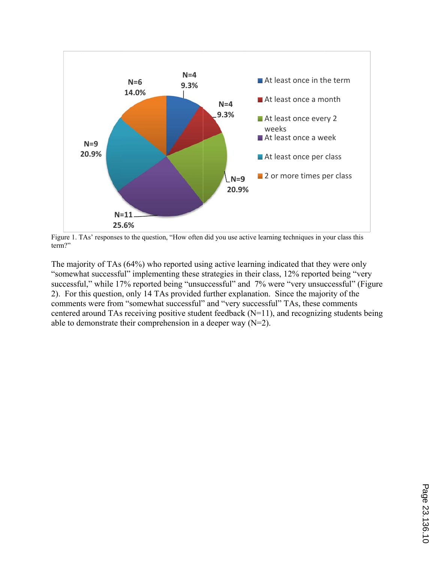

Figure 1. TAs' responses to the question, "How often did you use active learning techniques in your class this term?"

The majority of TAs (64%) who reported using active learning indicated that they were only The majority of TAs (64%) who reported using active learning indicated that they were only "somewhat successful" implementing these strategies in their class, 12% reported being "very successful," while 17% reported being "unsuccessful" and 7% were "very unsuccessful" (Figure 2). For this question, only 14 TAs provided further explanation. Since the majority of the comments were from "somewhat successful" and "very successful" TAs, these comments centered around TAs receiving positive student feedback  $(N=11)$ , and recognizing students being able to demonstrate their comprehension in a deeper way  $(N=2)$ .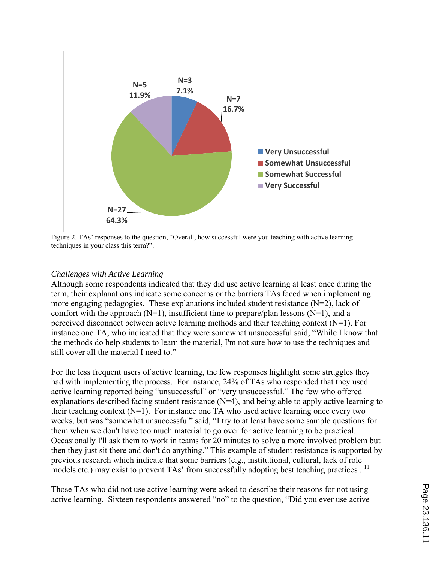

Figure 2. TAs' responses to the question, "Overall, how successful were you teaching with active learning techniques in your class this term?".

## *Challenges with Active Learning*

Although some respondents indicated that they did use active learning at least once during the term, their explanations indicate some concerns or the barriers TAs faced when implementing more engaging pedagogies. These explanations included student resistance  $(N=2)$ , lack of comfort with the approach  $(N=1)$ , insufficient time to prepare/plan lessons  $(N=1)$ , and a perceived disconnect between active learning methods and their teaching context (N=1). For instance one TA, who indicated that they were somewhat unsuccessful said, "While I know that the methods do help students to learn the material, I'm not sure how to use the techniques and still cover all the material I need to."

For the less frequent users of active learning, the few responses highlight some struggles they had with implementing the process. For instance, 24% of TAs who responded that they used active learning reported being "unsuccessful" or "very unsuccessful." The few who offered explanations described facing student resistance  $(N=4)$ , and being able to apply active learning to their teaching context (N=1).For instance one TA who used active learning once every two weeks, but was "somewhat unsuccessful" said, "I try to at least have some sample questions for them when we don't have too much material to go over for active learning to be practical. Occasionally I'll ask them to work in teams for 20 minutes to solve a more involved problem but then they just sit there and don't do anything." This example of student resistance is supported by previous research which indicate that some barriers (e.g., institutional, cultural, lack of role models etc.) may exist to prevent TAs' from successfully adopting best teaching practices . <sup>11</sup>

Those TAs who did not use active learning were asked to describe their reasons for not using active learning. Sixteen respondents answered "no" to the question, "Did you ever use active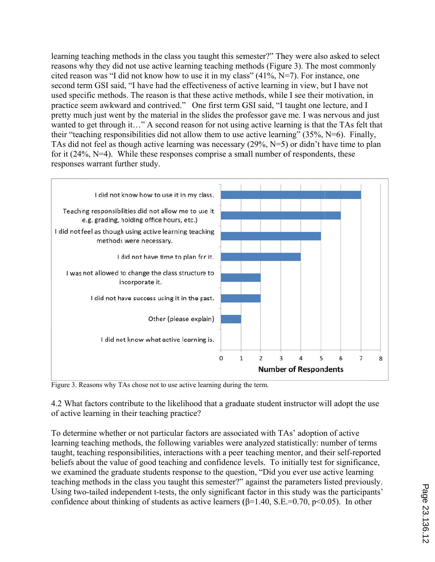learning teaching methods in the class you taught this semester?" They were also asked to select reasons why they did not use active learning teaching methods (Figure 3). The most commonly cited reason was "I did not know how to use it in my class" (41%, N=7). For instance, one second term GSI said, "I have had the effectiveness of active learning in view, but I have not used specific methods. The reason is that these active methods, while I see their motivation, in practice seem awkward and contrived." One first term GSI said, "I taught one lecture, and I pretty much just went by the material in the slides the professor gave me. I was nervous and just wanted to get through it..." A second reason for not using active learning is that the TAs felt that their "teaching responsibilities did not allow them to use active learning"  $(35\%, N=6)$ . Finally, TAs did not feel as though active learning was necessary (29%, N=5) or didn't have time to plan for it  $(24\%, N=4)$ . While these responses comprise a small number of respondents, these responses warrant further study.



Figure 3. Reasons why TAs chose not to use active learning during the term.

4.2 What factors contribute to the likelihood that a graduate student instructor will adopt the use of active learning in their teaching practice?

To determine whether or not particular factors are associated with TAs' adoption of active learning teaching methods, the following variables were analyzed statistically: number of terms taught, teaching responsibilities, interactions with a peer teaching mentor, and their self-reported beliefs about the value of good teaching and confidence levels. To initially test for significance, we examined the graduate students response to the question, "Did you ever use active learning teaching methods in the class you taught this semester?" against the parameters listed previously. Using two-tailed independent t-tests, the only significant factor in this study was the participants' confidence about thinking of students as active learners ( $\beta$ =1.40, S.E.=0.70, p<0.05). In other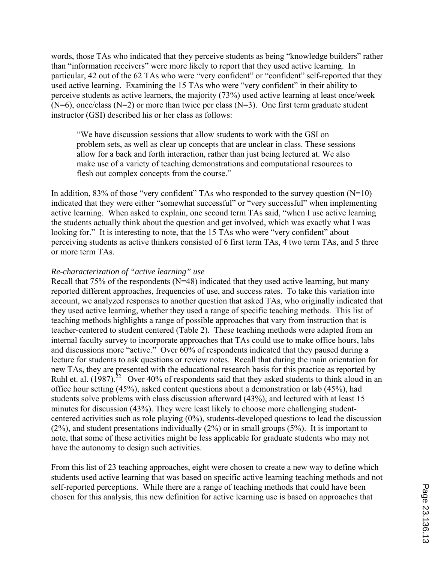words, those TAs who indicated that they perceive students as being "knowledge builders" rather than "information receivers" were more likely to report that they used active learning. In particular, 42 out of the 62 TAs who were "very confident" or "confident" self-reported that they used active learning. Examining the 15 TAs who were "very confident" in their ability to perceive students as active learners, the majority (73%) used active learning at least once/week  $(N=6)$ , once/class  $(N=2)$  or more than twice per class  $(N=3)$ . One first term graduate student instructor (GSI) described his or her class as follows:

"We have discussion sessions that allow students to work with the GSI on problem sets, as well as clear up concepts that are unclear in class. These sessions allow for a back and forth interaction, rather than just being lectured at. We also make use of a variety of teaching demonstrations and computational resources to flesh out complex concepts from the course."

In addition, 83% of those "very confident" TAs who responded to the survey question  $(N=10)$ indicated that they were either "somewhat successful" or "very successful" when implementing active learning. When asked to explain, one second term TAs said, "when I use active learning the students actually think about the question and get involved, which was exactly what I was looking for." It is interesting to note, that the 15 TAs who were "very confident" about perceiving students as active thinkers consisted of 6 first term TAs, 4 two term TAs, and 5 three or more term TAs.

#### *Re-characterization of "active learning" use*

Recall that  $75\%$  of the respondents (N=48) indicated that they used active learning, but many reported different approaches, frequencies of use, and success rates. To take this variation into account, we analyzed responses to another question that asked TAs, who originally indicated that they used active learning, whether they used a range of specific teaching methods. This list of teaching methods highlights a range of possible approaches that vary from instruction that is teacher-centered to student centered (Table 2). These teaching methods were adapted from an internal faculty survey to incorporate approaches that TAs could use to make office hours, labs and discussions more "active." Over 60% of respondents indicated that they paused during a lecture for students to ask questions or review notes. Recall that during the main orientation for new TAs, they are presented with the educational research basis for this practice as reported by Ruhl et. al. (1987).<sup>22</sup> Over 40% of respondents said that they asked students to think aloud in an office hour setting (45%), asked content questions about a demonstration or lab (45%), had students solve problems with class discussion afterward (43%), and lectured with at least 15 minutes for discussion (43%). They were least likely to choose more challenging studentcentered activities such as role playing (0%), students-developed questions to lead the discussion (2%), and student presentations individually (2%) or in small groups (5%). It is important to note, that some of these activities might be less applicable for graduate students who may not have the autonomy to design such activities.

From this list of 23 teaching approaches, eight were chosen to create a new way to define which students used active learning that was based on specific active learning teaching methods and not self-reported perceptions. While there are a range of teaching methods that could have been chosen for this analysis, this new definition for active learning use is based on approaches that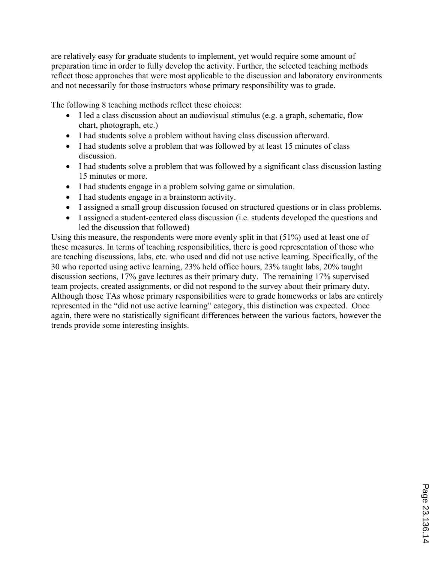are relatively easy for graduate students to implement, yet would require some amount of preparation time in order to fully develop the activity. Further, the selected teaching methods reflect those approaches that were most applicable to the discussion and laboratory environments and not necessarily for those instructors whose primary responsibility was to grade.

The following 8 teaching methods reflect these choices:

- I led a class discussion about an audiovisual stimulus (e.g. a graph, schematic, flow chart, photograph, etc.)
- I had students solve a problem without having class discussion afterward.
- I had students solve a problem that was followed by at least 15 minutes of class discussion.
- I had students solve a problem that was followed by a significant class discussion lasting 15 minutes or more.
- I had students engage in a problem solving game or simulation.
- I had students engage in a brainstorm activity.
- I assigned a small group discussion focused on structured questions or in class problems.
- I assigned a student-centered class discussion (i.e. students developed the questions and led the discussion that followed)

Using this measure, the respondents were more evenly split in that (51%) used at least one of these measures. In terms of teaching responsibilities, there is good representation of those who are teaching discussions, labs, etc. who used and did not use active learning. Specifically, of the 30 who reported using active learning, 23% held office hours, 23% taught labs, 20% taught discussion sections, 17% gave lectures as their primary duty. The remaining 17% supervised team projects, created assignments, or did not respond to the survey about their primary duty. Although those TAs whose primary responsibilities were to grade homeworks or labs are entirely represented in the "did not use active learning" category, this distinction was expected. Once again, there were no statistically significant differences between the various factors, however the trends provide some interesting insights.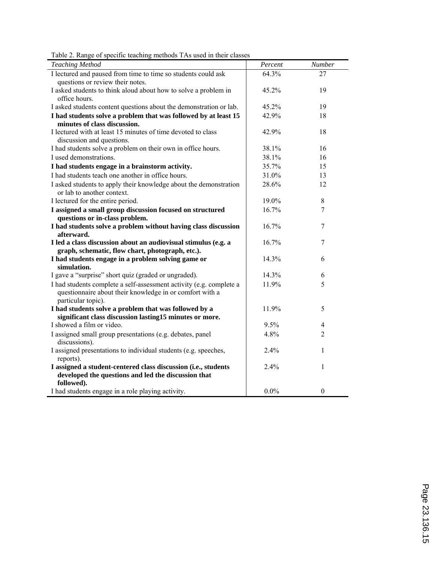| <b>Teaching Method</b>                                                                                                                                | Percent | Number           |
|-------------------------------------------------------------------------------------------------------------------------------------------------------|---------|------------------|
| I lectured and paused from time to time so students could ask                                                                                         | 64.3%   | 27               |
| questions or review their notes.                                                                                                                      |         |                  |
| I asked students to think aloud about how to solve a problem in                                                                                       | 45.2%   | 19               |
| office hours.                                                                                                                                         |         |                  |
| I asked students content questions about the demonstration or lab.                                                                                    | 45.2%   | 19               |
| I had students solve a problem that was followed by at least 15                                                                                       | 42.9%   | 18               |
| minutes of class discussion.                                                                                                                          |         |                  |
| I lectured with at least 15 minutes of time devoted to class                                                                                          | 42.9%   | 18               |
| discussion and questions.<br>I had students solve a problem on their own in office hours.                                                             | 38.1%   | 16               |
| I used demonstrations.                                                                                                                                | 38.1%   | 16               |
|                                                                                                                                                       | 35.7%   | 15               |
| I had students engage in a brainstorm activity.<br>I had students teach one another in office hours.                                                  | 31.0%   |                  |
|                                                                                                                                                       |         | 13               |
| I asked students to apply their knowledge about the demonstration<br>or lab to another context.                                                       | 28.6%   | 12               |
| I lectured for the entire period.                                                                                                                     | 19.0%   | $8\,$            |
| I assigned a small group discussion focused on structured                                                                                             | 16.7%   | $\overline{7}$   |
| questions or in-class problem.                                                                                                                        |         |                  |
| I had students solve a problem without having class discussion                                                                                        | 16.7%   | 7                |
| afterward.                                                                                                                                            |         |                  |
| I led a class discussion about an audiovisual stimulus (e.g. a<br>graph, schematic, flow chart, photograph, etc.).                                    | 16.7%   | 7                |
| I had students engage in a problem solving game or                                                                                                    | 14.3%   | 6                |
| simulation.                                                                                                                                           |         |                  |
| I gave a "surprise" short quiz (graded or ungraded).                                                                                                  | 14.3%   | 6                |
| I had students complete a self-assessment activity (e.g. complete a<br>questionnaire about their knowledge in or comfort with a<br>particular topic). | 11.9%   | 5                |
| I had students solve a problem that was followed by a                                                                                                 | 11.9%   | 5                |
| significant class discussion lasting15 minutes or more.                                                                                               |         |                  |
| I showed a film or video.                                                                                                                             | 9.5%    | 4                |
| I assigned small group presentations (e.g. debates, panel<br>discussions).                                                                            | 4.8%    | $\overline{2}$   |
| I assigned presentations to individual students (e.g. speeches,<br>reports).                                                                          | 2.4%    | 1                |
| I assigned a student-centered class discussion (i.e., students                                                                                        | 2.4%    | 1                |
| developed the questions and led the discussion that                                                                                                   |         |                  |
| followed).                                                                                                                                            |         |                  |
| I had students engage in a role playing activity.                                                                                                     | $0.0\%$ | $\boldsymbol{0}$ |

Table 2. Range of specific teaching methods TAs used in their classes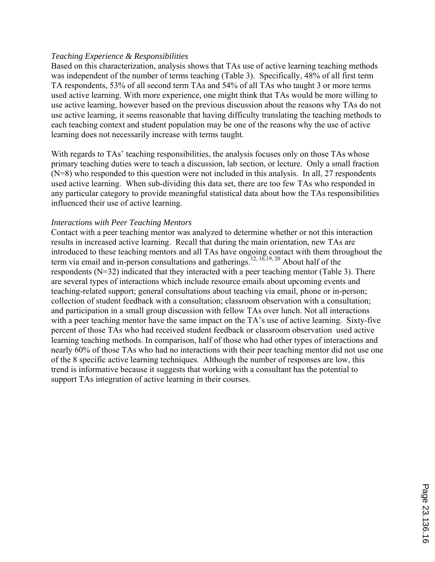## *Teaching Experience & Responsibilities*

Based on this characterization, analysis shows that TAs use of active learning teaching methods was independent of the number of terms teaching (Table 3). Specifically, 48% of all first term TA respondents, 53% of all second term TAs and 54% of all TAs who taught 3 or more terms used active learning. With more experience, one might think that TAs would be more willing to use active learning, however based on the previous discussion about the reasons why TAs do not use active learning, it seems reasonable that having difficulty translating the teaching methods to each teaching context and student population may be one of the reasons why the use of active learning does not necessarily increase with terms taught.

With regards to TAs' teaching responsibilities, the analysis focuses only on those TAs whose primary teaching duties were to teach a discussion, lab section, or lecture. Only a small fraction (N=8) who responded to this question were not included in this analysis. In all, 27 respondents used active learning. When sub-dividing this data set, there are too few TAs who responded in any particular category to provide meaningful statistical data about how the TAs responsibilities influenced their use of active learning.

## *Interactions with Peer Teaching Mentors*

Contact with a peer teaching mentor was analyzed to determine whether or not this interaction results in increased active learning. Recall that during the main orientation, new TAs are introduced to these teaching mentors and all TAs have ongoing contact with them throughout the term via email and in-person consultations and gatherings.<sup>12, 16,19, 20</sup> About half of the respondents (N=32) indicated that they interacted with a peer teaching mentor (Table 3). There are several types of interactions which include resource emails about upcoming events and teaching-related support; general consultations about teaching via email, phone or in-person; collection of student feedback with a consultation; classroom observation with a consultation; and participation in a small group discussion with fellow TAs over lunch. Not all interactions with a peer teaching mentor have the same impact on the TA's use of active learning. Sixty-five percent of those TAs who had received student feedback or classroom observation used active learning teaching methods. In comparison, half of those who had other types of interactions and nearly 60% of those TAs who had no interactions with their peer teaching mentor did not use one of the 8 specific active learning techniques. Although the number of responses are low, this trend is informative because it suggests that working with a consultant has the potential to support TAs integration of active learning in their courses.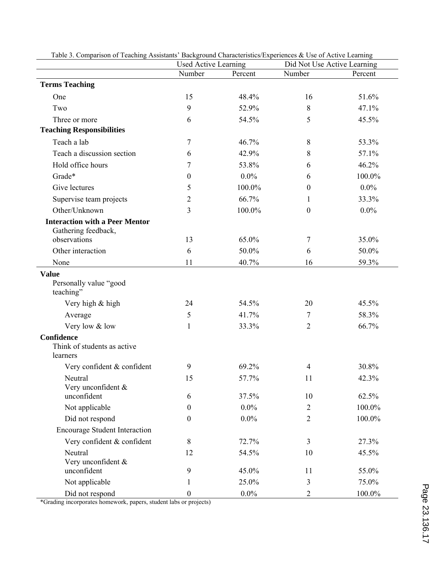|                                                              | <b>Used Active Learning</b> |         | Did Not Use Active Learning |         |  |
|--------------------------------------------------------------|-----------------------------|---------|-----------------------------|---------|--|
|                                                              | Number                      | Percent | Number                      | Percent |  |
| <b>Terms Teaching</b>                                        |                             |         |                             |         |  |
| One                                                          | 15                          | 48.4%   | 16                          | 51.6%   |  |
| Two                                                          | 9                           | 52.9%   | $\,8\,$                     | 47.1%   |  |
| Three or more                                                | 6                           | 54.5%   | 5                           | 45.5%   |  |
| <b>Teaching Responsibilities</b>                             |                             |         |                             |         |  |
| Teach a lab                                                  | 7                           | 46.7%   | 8                           | 53.3%   |  |
| Teach a discussion section                                   | 6                           | 42.9%   | 8                           | 57.1%   |  |
| Hold office hours                                            | 7                           | 53.8%   | 6                           | 46.2%   |  |
| Grade*                                                       | $\boldsymbol{0}$            | $0.0\%$ | 6                           | 100.0%  |  |
| Give lectures                                                | 5                           | 100.0%  | $\boldsymbol{0}$            | $0.0\%$ |  |
| Supervise team projects                                      | $\overline{2}$              | 66.7%   | 1                           | 33.3%   |  |
| Other/Unknown                                                | 3                           | 100.0%  | $\boldsymbol{0}$            | $0.0\%$ |  |
| <b>Interaction with a Peer Mentor</b><br>Gathering feedback, |                             |         |                             |         |  |
| observations                                                 | 13                          | 65.0%   | 7                           | 35.0%   |  |
| Other interaction                                            | 6                           | 50.0%   | 6                           | 50.0%   |  |
| None                                                         | 11                          | 40.7%   | 16                          | 59.3%   |  |
| <b>Value</b><br>Personally value "good<br>teaching"          |                             |         |                             |         |  |
| Very high & high                                             | 24                          | 54.5%   | 20                          | 45.5%   |  |
| Average                                                      | 5                           | 41.7%   | 7                           | 58.3%   |  |
| Very low & low                                               | 1                           | 33.3%   | $\overline{2}$              | 66.7%   |  |
| Confidence<br>Think of students as active<br>learners        |                             |         |                             |         |  |
| Very confident & confident                                   | 9                           | 69.2%   | 4                           | 30.8%   |  |
| Neutral<br>Very unconfident &                                | 57.7%<br>15<br>11           |         | 42.3%                       |         |  |
| unconfident                                                  | 6                           | 37.5%   | 10                          | 62.5%   |  |
| Not applicable                                               | $\boldsymbol{0}$            | $0.0\%$ | $\overline{2}$              | 100.0%  |  |
| Did not respond                                              | $\boldsymbol{0}$            | $0.0\%$ | $\overline{2}$              | 100.0%  |  |
| <b>Encourage Student Interaction</b>                         |                             |         |                             |         |  |
| Very confident & confident                                   | 8                           | 72.7%   | $\overline{3}$              | 27.3%   |  |
| Neutral<br>Very unconfident &                                | 12                          | 54.5%   | 10                          | 45.5%   |  |
| unconfident                                                  | 9                           | 45.0%   | 11                          | 55.0%   |  |
| Not applicable                                               | $\mathbf{1}$                | 25.0%   | 3                           | 75.0%   |  |
| Did not respond                                              | $\boldsymbol{0}$            | $0.0\%$ | $\overline{2}$              | 100.0%  |  |

Table 3. Comparison of Teaching Assistants' Background Characteristics/Experiences & Use of Active Learning

\*Grading incorporates homework, papers, student labs or projects)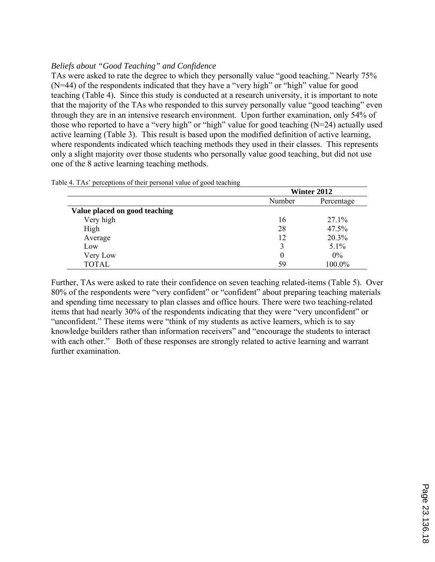## *Beliefs about "Good Teaching" and Confidence*

TAs were asked to rate the degree to which they personally value "good teaching." Nearly 75% (N=44) of the respondents indicated that they have a "very high" or "high" value for good teaching (Table 4). Since this study is conducted at a research university, it is important to note that the majority of the TAs who responded to this survey personally value "good teaching" even through they are in an intensive research environment. Upon further examination, only 54% of those who reported to have a "very high" or "high" value for good teaching (N=24) actually used active learning (Table 3). This result is based upon the modified definition of active learning, where respondents indicated which teaching methods they used in their classes. This represents only a slight majority over those students who personally value good teaching, but did not use one of the 8 active learning teaching methods.

|                               |        | ັ<br>Winter 2012 |  |  |
|-------------------------------|--------|------------------|--|--|
|                               | Number | Percentage       |  |  |
| Value placed on good teaching |        |                  |  |  |
| Very high                     | 16     | 27.1%            |  |  |
| High                          | 28     | 47.5%            |  |  |
| Average                       | 12     | 20.3%            |  |  |
| Low                           |        | $5.1\%$          |  |  |
| Very Low                      | 0      | $0\%$            |  |  |
| <b>TOTAL</b>                  | 59     | 100.0%           |  |  |

Table 4. TAs' perceptions of their personal value of good teaching

Further, TAs were asked to rate their confidence on seven teaching related-items (Table 5). Over 80% of the respondents were "very confident" or "confident" about preparing teaching materials and spending time necessary to plan classes and office hours. There were two teaching-related items that had nearly 30% of the respondents indicating that they were "very unconfident" or "unconfident." These items were "think of my students as active learners, which is to say knowledge builders rather than information receivers" and "encourage the students to interact with each other." Both of these responses are strongly related to active learning and warrant further examination.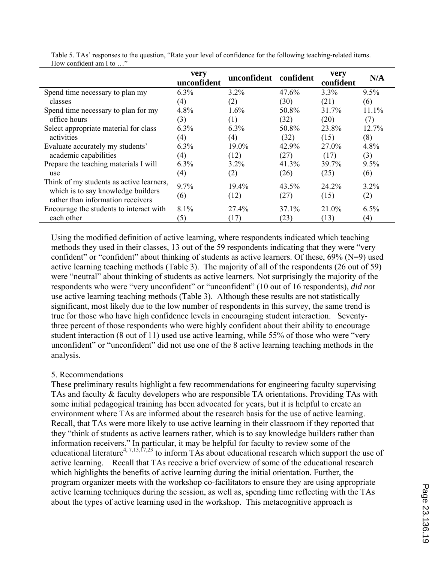|                                                                                                                     | very<br>unconfident | unconfident      | confident     | very<br>confident | N/A            |
|---------------------------------------------------------------------------------------------------------------------|---------------------|------------------|---------------|-------------------|----------------|
| Spend time necessary to plan my                                                                                     | 6.3%                | $3.2\%$          | $47.6\%$      | $3.3\%$           | 9.5%           |
| classes                                                                                                             | (4)                 | (2)              | (30)          | (21)              | (6)            |
| Spend time necessary to plan for my                                                                                 | 4.8%                | $1.6\%$          | 50.8%         | 31.7%             | 11.1%          |
| office hours                                                                                                        | (3)                 | (1)              | (32)          | (20)              | (7)            |
| Select appropriate material for class                                                                               | 6.3%                | 6.3%             | 50.8%         | 23.8%             | 12.7%          |
| activities                                                                                                          | (4)                 | (4)              | (32)          | (15)              | (8)            |
| Evaluate accurately my students'                                                                                    | $6.3\%$             | $19.0\%$         | 42.9%         | 27.0%             | 4.8%           |
| academic capabilities                                                                                               | (4)                 | (12)             | (27)          | (17)              | (3)            |
| Prepare the teaching materials I will                                                                               | 6.3%                | $3.2\%$          | 41.3%         | 39.7%             | 9.5%           |
| use                                                                                                                 | (4)                 | (2)              | (26)          | (25)              | (6)            |
| Think of my students as active learners,<br>which is to say knowledge builders<br>rather than information receivers | 9.7%<br>(6)         | $19.4\%$<br>(12) | 43.5%<br>(27) | 24.2%<br>(15)     | $3.2\%$<br>(2) |
| Encourage the students to interact with                                                                             | $8.1\%$             | 27.4%            | $37.1\%$      | 21.0%             | 6.5%           |
| each other                                                                                                          | (5)                 | (17)             | (23)          | (13)              | (4)            |

Table 5. TAs' responses to the question, "Rate your level of confidence for the following teaching-related items. How confident am I to …"

Using the modified definition of active learning, where respondents indicated which teaching methods they used in their classes, 13 out of the 59 respondents indicating that they were "very confident" or "confident" about thinking of students as active learners. Of these, 69% (N=9) used active learning teaching methods (Table 3). The majority of all of the respondents (26 out of 59) were "neutral" about thinking of students as active learners. Not surprisingly the majority of the respondents who were "very unconfident" or "unconfident" (10 out of 16 respondents), *did not* use active learning teaching methods (Table 3). Although these results are not statistically significant, most likely due to the low number of respondents in this survey, the same trend is true for those who have high confidence levels in encouraging student interaction. Seventythree percent of those respondents who were highly confident about their ability to encourage student interaction (8 out of 11) used use active learning, while 55% of those who were "very unconfident" or "unconfident" did not use one of the 8 active learning teaching methods in the analysis.

## 5. Recommendations

These preliminary results highlight a few recommendations for engineering faculty supervising TAs and faculty & faculty developers who are responsible TA orientations. Providing TAs with some initial pedagogical training has been advocated for years, but it is helpful to create an environment where TAs are informed about the research basis for the use of active learning. Recall, that TAs were more likely to use active learning in their classroom if they reported that they "think of students as active learners rather, which is to say knowledge builders rather than information receivers." In particular, it may be helpful for faculty to review some of the educational literature<sup>4, 7,13, 17,23</sup> to inform TAs about educational research which support the use of active learning. Recall that TAs receive a brief overview of some of the educational research which highlights the benefits of active learning during the initial orientation. Further, the program organizer meets with the workshop co-facilitators to ensure they are using appropriate active learning techniques during the session, as well as, spending time reflecting with the TAs about the types of active learning used in the workshop. This metacognitive approach is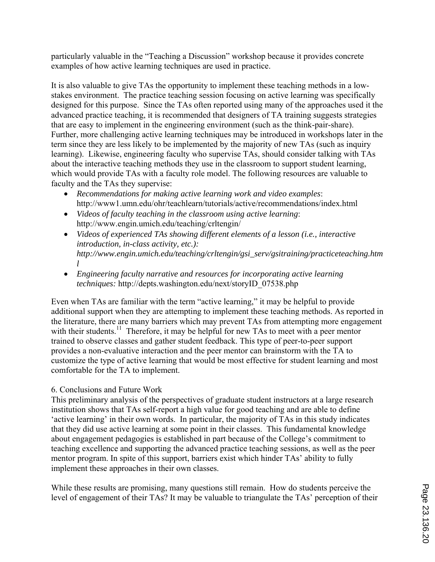particularly valuable in the "Teaching a Discussion" workshop because it provides concrete examples of how active learning techniques are used in practice.

It is also valuable to give TAs the opportunity to implement these teaching methods in a lowstakes environment. The practice teaching session focusing on active learning was specifically designed for this purpose. Since the TAs often reported using many of the approaches used it the advanced practice teaching, it is recommended that designers of TA training suggests strategies that are easy to implement in the engineering environment (such as the think-pair-share). Further, more challenging active learning techniques may be introduced in workshops later in the term since they are less likely to be implemented by the majority of new TAs (such as inquiry learning). Likewise, engineering faculty who supervise TAs, should consider talking with TAs about the interactive teaching methods they use in the classroom to support student learning, which would provide TAs with a faculty role model. The following resources are valuable to faculty and the TAs they supervise:

- *Recommendations for making active learning work and video examples*: http://www1.umn.edu/ohr/teachlearn/tutorials/active/recommendations/index.html
- *Videos of faculty teaching in the classroom using active learning*: http://www.engin.umich.edu/teaching/crltengin/
- *Videos of experienced TAs showing different elements of a lesson (i.e., interactive introduction, in-class activity, etc.): http://www.engin.umich.edu/teaching/crltengin/gsi\_serv/gsitraining/practiceteaching.htm l*
- *Engineering faculty narrative and resources for incorporating active learning techniques:* http://depts.washington.edu/next/storyID\_07538.php

Even when TAs are familiar with the term "active learning," it may be helpful to provide additional support when they are attempting to implement these teaching methods. As reported in the literature, there are many barriers which may prevent TAs from attempting more engagement with their students.<sup>11</sup> Therefore, it may be helpful for new TAs to meet with a peer mentor trained to observe classes and gather student feedback. This type of peer-to-peer support provides a non-evaluative interaction and the peer mentor can brainstorm with the TA to customize the type of active learning that would be most effective for student learning and most comfortable for the TA to implement.

## 6. Conclusions and Future Work

This preliminary analysis of the perspectives of graduate student instructors at a large research institution shows that TAs self-report a high value for good teaching and are able to define 'active learning' in their own words. In particular, the majority of TAs in this study indicates that they did use active learning at some point in their classes. This fundamental knowledge about engagement pedagogies is established in part because of the College's commitment to teaching excellence and supporting the advanced practice teaching sessions, as well as the peer mentor program. In spite of this support, barriers exist which hinder TAs' ability to fully implement these approaches in their own classes.

While these results are promising, many questions still remain. How do students perceive the level of engagement of their TAs? It may be valuable to triangulate the TAs' perception of their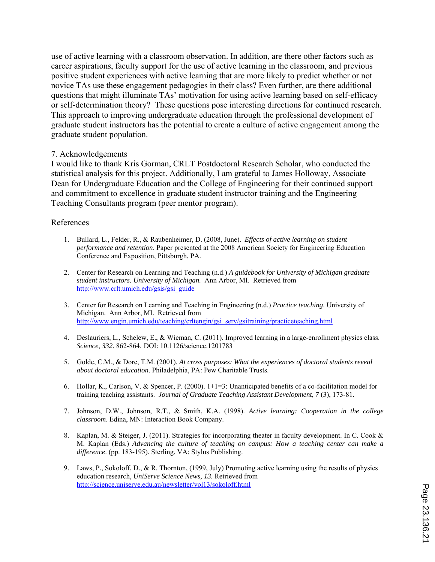use of active learning with a classroom observation. In addition, are there other factors such as career aspirations, faculty support for the use of active learning in the classroom, and previous positive student experiences with active learning that are more likely to predict whether or not novice TAs use these engagement pedagogies in their class? Even further, are there additional questions that might illuminate TAs' motivation for using active learning based on self-efficacy or self-determination theory? These questions pose interesting directions for continued research. This approach to improving undergraduate education through the professional development of graduate student instructors has the potential to create a culture of active engagement among the graduate student population.

#### 7. Acknowledgements

I would like to thank Kris Gorman, CRLT Postdoctoral Research Scholar, who conducted the statistical analysis for this project. Additionally, I am grateful to James Holloway, Associate Dean for Undergraduate Education and the College of Engineering for their continued support and commitment to excellence in graduate student instructor training and the Engineering Teaching Consultants program (peer mentor program).

#### References

- 1. Bullard, L., Felder, R., & Raubenheimer, D. (2008, June). *Effects of active learning on student performance and retention*. Paper presented at the 2008 American Society for Engineering Education Conference and Exposition, Pittsburgh, PA.
- 2. Center for Research on Learning and Teaching (n.d.) *A guidebook for University of Michigan graduate student instructors. University of Michigan.* Ann Arbor, MI. Retrieved from http://www.crlt.umich.edu/gsis/gsi\_guide
- 3. Center for Research on Learning and Teaching in Engineering (n.d.) *Practice teaching*. University of Michigan. Ann Arbor, MI. Retrieved from http://www.engin.umich.edu/teaching/crltengin/gsi\_serv/gsitraining/practiceteaching.html
- 4. Deslauriers, L., Schelew, E., & Wieman, C. (2011). Improved learning in a large-enrollment physics class. *Science*, *332*. 862-864. DOI: 10.1126/science.1201783
- 5. Golde, C.M., & Dore, T.M. (2001). *At cross purposes: What the experiences of doctoral students reveal about doctoral education*. Philadelphia, PA: Pew Charitable Trusts.
- 6. Hollar, K., Carlson, V. & Spencer, P. (2000). 1+1=3: Unanticipated benefits of a co-facilitation model for training teaching assistants. *Journal of Graduate Teaching Assistant Development*, *7* (3), 173-81.
- 7. Johnson, D.W., Johnson, R.T., & Smith, K.A. (1998). *Active learning: Cooperation in the college classroom*. Edina, MN: Interaction Book Company.
- 8. Kaplan, M. & Steiger, J. (2011). Strategies for incorporating theater in faculty development. In C. Cook & M. Kaplan (Eds.) *Advancing the culture of teaching on campus: How a teaching center can make a difference*. (pp. 183-195). Sterling, VA: Stylus Publishing.
- 9. Laws, P., Sokoloff, D., & R. Thornton, (1999, July) Promoting active learning using the results of physics education research, *UniServe Science News, 13.* Retrieved from http://science.uniserve.edu.au/newsletter/vol13/sokoloff.html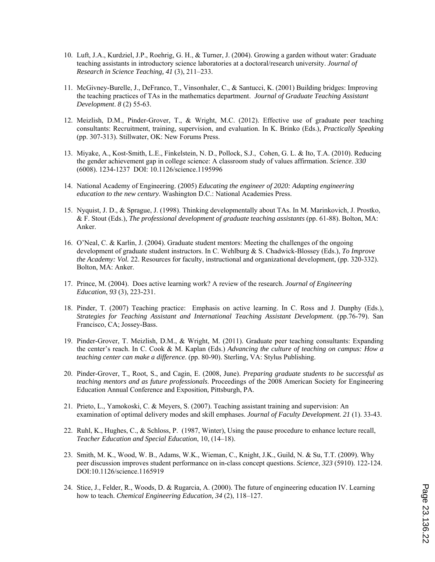- 10. Luft, J.A., Kurdziel, J.P., Roehrig, G. H., & Turner, J. (2004). Growing a garden without water: Graduate teaching assistants in introductory science laboratories at a doctoral/research university. *Journal of Research in Science Teaching, 41* (3), 211–233.
- 11. McGivney-Burelle, J., DeFranco, T., Vinsonhaler, C., & Santucci, K. (2001) Building bridges: Improving the teaching practices of TAs in the mathematics department. *Journal of Graduate Teaching Assistant Development*. *8* (2) 55-63.
- 12. Meizlish, D.M., Pinder-Grover, T., & Wright, M.C. (2012). Effective use of graduate peer teaching consultants: Recruitment, training, supervision, and evaluation. In K. Brinko (Eds.), *Practically Speaking* (pp. 307-313). Stillwater, OK: New Forums Press.
- 13. Miyake, A., Kost-Smith, L.E., Finkelstein, N. D., Pollock, S.J., Cohen, G. L. & Ito, T.A. (2010). Reducing the gender achievement gap in college science: A classroom study of values affirmation. *Science*. *330* (6008). 1234-1237 DOI: 10.1126/science.1195996
- 14. National Academy of Engineering. (2005) *Educating the engineer of 2020: Adapting engineering education to the new century*. Washington D.C.: National Academies Press.
- 15. Nyquist, J. D., & Sprague, J. (1998). Thinking developmentally about TAs. In M. Marinkovich, J. Prostko, & F. Stout (Eds.), *The professional development of graduate teaching assistants* (pp. 61-88). Bolton, MA: Anker.
- 16. O'Neal, C. & Karlin, J. (2004). Graduate student mentors: Meeting the challenges of the ongoing development of graduate student instructors. In C. Wehlburg & S. Chadwick-Blossey (Eds.), *To Improve the Academy: Vol.* 22. Resources for faculty, instructional and organizational development, (pp. 320-332). Bolton, MA: Anker.
- 17. Prince, M. (2004). Does active learning work? A review of the research. *Journal of Engineering Education*, *93* (3), 223-231.
- 18. Pinder, T. (2007) Teaching practice: Emphasis on active learning. In C. Ross and J. Dunphy (Eds.), *Strategies for Teaching Assistant and International Teaching Assistant Development*. (pp.76-79). San Francisco, CA; Jossey-Bass.
- 19. Pinder-Grover, T. Meizlish, D.M., & Wright, M. (2011). Graduate peer teaching consultants: Expanding the center's reach. In C. Cook & M. Kaplan (Eds.) *Advancing the culture of teaching on campus: How a teaching center can make a difference*. (pp. 80-90). Sterling, VA: Stylus Publishing.
- 20. Pinder-Grover, T., Root, S., and Cagin, E. (2008, June). *Preparing graduate students to be successful as teaching mentors and as future professionals*. Proceedings of the 2008 American Society for Engineering Education Annual Conference and Exposition*,* Pittsburgh, PA.
- 21. Prieto, L., Yamokoski, C. & Meyers, S. (2007). Teaching assistant training and supervision: An examination of optimal delivery modes and skill emphases. *Journal of Faculty Development. 21* (1). 33-43.
- 22. Ruhl, K., Hughes, C., & Schloss, P. (1987, Winter), Using the pause procedure to enhance lecture recall, *Teacher Education and Special Education*, 10, (14–18).
- 23. Smith, M. K., Wood, W. B., Adams, W.K., Wieman, C., Knight, J.K., Guild, N. & Su, T.T. (2009). Why peer discussion improves student performance on in-class concept questions. *Science*, *323* (5910). 122-124. DOI:10.1126/science.1165919
- 24. Stice, J., Felder, R., Woods, D. & Rugarcia, A. (2000). The future of engineering education IV. Learning how to teach. *Chemical Engineering Education, 34* (2), 118–127.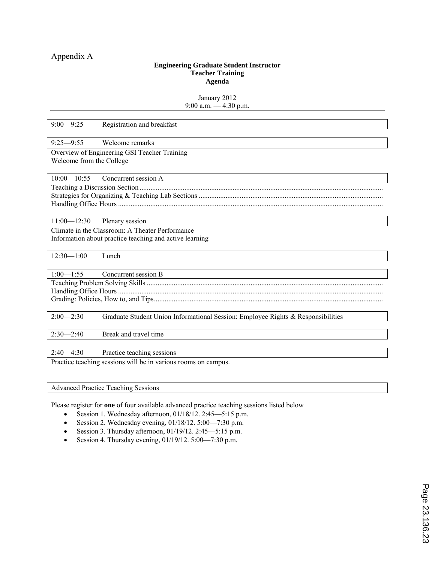#### **Engineering Graduate Student Instructor Teacher Training Agenda**

January 2012 9:00 a.m. — 4:30 p.m.

| $9:00 - 9:25$            | Registration and breakfast                                                       |
|--------------------------|----------------------------------------------------------------------------------|
|                          |                                                                                  |
| $9:25 - 9:55$            | Welcome remarks                                                                  |
|                          | Overview of Engineering GSI Teacher Training                                     |
| Welcome from the College |                                                                                  |
|                          |                                                                                  |
| $10:00 - 10:55$          | Concurrent session A                                                             |
|                          |                                                                                  |
|                          |                                                                                  |
|                          |                                                                                  |
|                          |                                                                                  |
|                          | $11:00 - 12:30$ Plenary session                                                  |
|                          | Climate in the Classroom: A Theater Performance                                  |
|                          | Information about practice teaching and active learning                          |
|                          |                                                                                  |
| $12:30 - 1:00$           | Lunch                                                                            |
|                          |                                                                                  |
| $1:00 - 1:55$            | Concurrent session B                                                             |
|                          |                                                                                  |
|                          |                                                                                  |
|                          |                                                                                  |
|                          |                                                                                  |
| $2:00 - 2:30$            | Graduate Student Union Informational Session: Employee Rights & Responsibilities |
|                          |                                                                                  |
| $2:30 - 2:40$            | Break and travel time                                                            |
|                          |                                                                                  |
| $2:40 - 4:30$            | Practice teaching sessions                                                       |
|                          | Practice teaching sessions will be in various rooms on campus.                   |
|                          |                                                                                  |

Advanced Practice Teaching Sessions

Please register for **one** of four available advanced practice teaching sessions listed below

- Session 1. Wednesday afternoon,  $01/18/12$ .  $2:45-5:15$  p.m.
- Session 2. Wednesday evening,  $01/18/12$ .  $5:00$ —7:30 p.m.
- Session 3. Thursday afternoon,  $01/19/12$ . 2:45-5:15 p.m.
- Session 4. Thursday evening,  $01/19/12$ .  $5:00$ —7:30 p.m.